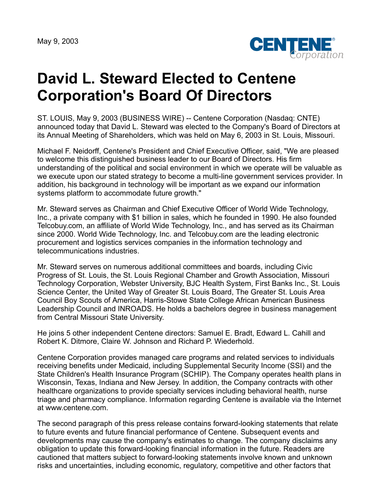May 9, 2003



## **David L. Steward Elected to Centene Corporation's Board Of Directors**

ST. LOUIS, May 9, 2003 (BUSINESS WIRE) -- Centene Corporation (Nasdaq: CNTE) announced today that David L. Steward was elected to the Company's Board of Directors at its Annual Meeting of Shareholders, which was held on May 6, 2003 in St. Louis, Missouri.

Michael F. Neidorff, Centene's President and Chief Executive Officer, said, "We are pleased to welcome this distinguished business leader to our Board of Directors. His firm understanding of the political and social environment in which we operate will be valuable as we execute upon our stated strategy to become a multi-line government services provider. In addition, his background in technology will be important as we expand our information systems platform to accommodate future growth."

Mr. Steward serves as Chairman and Chief Executive Officer of World Wide Technology, Inc., a private company with \$1 billion in sales, which he founded in 1990. He also founded Telcobuy.com, an affiliate of World Wide Technology, Inc., and has served as its Chairman since 2000. World Wide Technology, Inc. and Telcobuy.com are the leading electronic procurement and logistics services companies in the information technology and telecommunications industries.

Mr. Steward serves on numerous additional committees and boards, including Civic Progress of St. Louis, the St. Louis Regional Chamber and Growth Association, Missouri Technology Corporation, Webster University, BJC Health System, First Banks Inc., St. Louis Science Center, the United Way of Greater St. Louis Board, The Greater St. Louis Area Council Boy Scouts of America, Harris-Stowe State College African American Business Leadership Council and INROADS. He holds a bachelors degree in business management from Central Missouri State University.

He joins 5 other independent Centene directors: Samuel E. Bradt, Edward L. Cahill and Robert K. Ditmore, Claire W. Johnson and Richard P. Wiederhold.

Centene Corporation provides managed care programs and related services to individuals receiving benefits under Medicaid, including Supplemental Security Income (SSI) and the State Children's Health Insurance Program (SCHIP). The Company operates health plans in Wisconsin, Texas, Indiana and New Jersey. In addition, the Company contracts with other healthcare organizations to provide specialty services including behavioral health, nurse triage and pharmacy compliance. Information regarding Centene is available via the Internet at www.centene.com.

The second paragraph of this press release contains forward-looking statements that relate to future events and future financial performance of Centene. Subsequent events and developments may cause the company's estimates to change. The company disclaims any obligation to update this forward-looking financial information in the future. Readers are cautioned that matters subject to forward-looking statements involve known and unknown risks and uncertainties, including economic, regulatory, competitive and other factors that